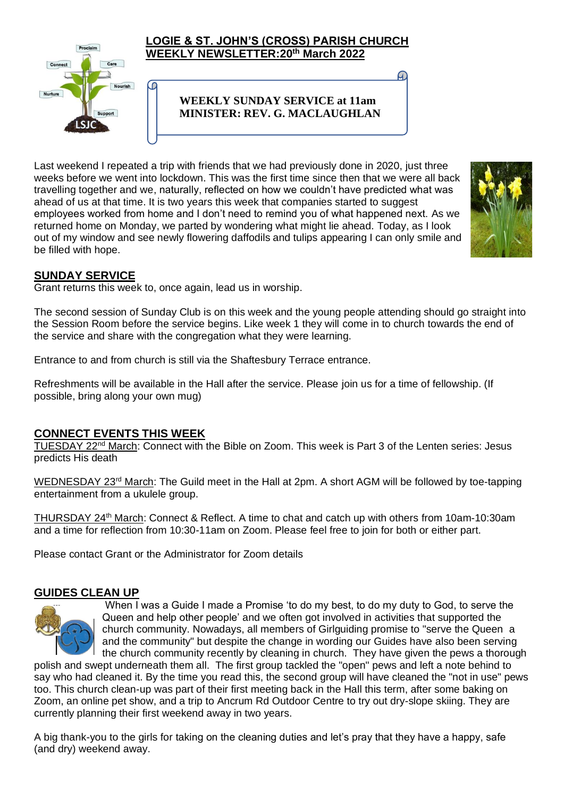

#### **LOGIE & ST. JOHN'S (CROSS) PARISH CHURCH WEEKLY NEWSLETTER:20th March 2022**

### **WEEKLY SUNDAY SERVICE at 11am MINISTER: REV. G. MACLAUGHLAN**

Last weekend I repeated a trip with friends that we had previously done in 2020, just three weeks before we went into lockdown. This was the first time since then that we were all back travelling together and we, naturally, reflected on how we couldn't have predicted what was ahead of us at that time. It is two years this week that companies started to suggest employees worked from home and I don't need to remind you of what happened next. As we returned home on Monday, we parted by wondering what might lie ahead. Today, as I look out of my window and see newly flowering daffodils and tulips appearing I can only smile and be filled with hope.



### **SUNDAY SERVICE**

Grant returns this week to, once again, lead us in worship.

C

The second session of Sunday Club is on this week and the young people attending should go strai[ght into](https://creativecommons.org/licenses/by/3.0/)  the Session Room before the service begins. Like week 1 they will come in to church towards the end of the service and share with the congregation what they were learning.

Entrance to and from church is still via the Shaftesbury Terrace entrance.

Refreshments will be available in the Hall after the service. Please join us for a time of fellowship. (If possible, bring along your own mug)

#### **CONNECT EVENTS THIS WEEK**

TUESDAY 22<sup>nd</sup> March: Connect with the Bible on Zoom. This week is Part 3 of the Lenten series: Jesus predicts His death

WEDNESDAY 23<sup>rd</sup> March: The Guild meet in the Hall at 2pm. A short AGM will be followed by toe-tapping entertainment from a ukulele group.

THURSDAY 24<sup>th</sup> March: Connect & Reflect. A time to chat and catch up with others from 10am-10:30am and a time for reflection from 10:30-11am on Zoom. Please feel free to join for both or either part.

Please contact Grant or the Administrator for Zoom details

### **GUIDES CLEAN UP**



When I was a Guide I made a Promise 'to do my best, to do my duty to God, to serve the Queen and help other people' and we often got involved in activities that supported the church community. Nowadays, all members of Girlguiding promise to "serve the Queen a and the community" but despite the change in wording our Guides have also been serving the church community recently by cleaning in church. They have given the pews a thorough

polish and swept underneath them all. The first group tackled the "open" pews and left a note behind to say who had cleaned it. By the time you read this, the second group will have cleaned the "not in use" pews too. This church clean-up was part of their first meeting back in the Hall this term, after some baking on Zoom, an online pet show, and a trip to Ancrum Rd Outdoor Centre to try out dry-slope skiing. They are currently planning their first weekend away in two years.

A big thank-you to the girls for taking on the cleaning duties and let's pray that they have a happy, safe (and dry) weekend away.